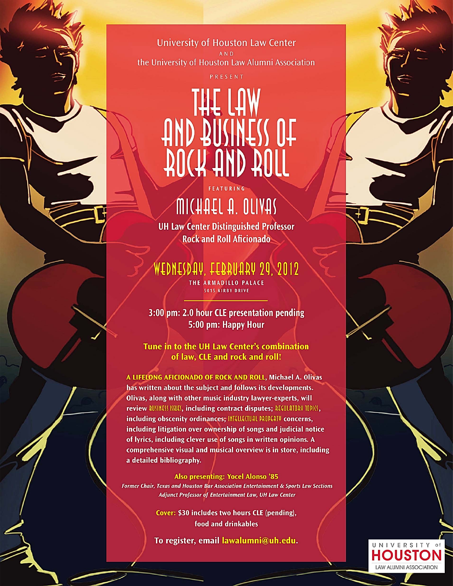**University of Houston Law Center** the University of Houston Law Alumni Association

PRESENT

# AOCH HUD BOLL

## MICHAEL A. OLIVAS

FEATURING

**UH Law Center Distinguished Professor Rock and Roll Aficionado** 

WEDNESDAY, FEBRUARY 29, 2012

THE ARMADILLO PALACE 5015 KIRBY DRIVE

3:00 pm: 2.0 hour CLE presentation pending 5:00 pm: Happy Hour

Tune in to the UH Law Center's combination of law, CLE and rock and roll!

A LIFELONG AFICIONADO OF ROCK AND ROLL, Michael A. Olivas has written about the subject and follows its developments. Olivas, along with other music industry lawyer-experts, will review BUSINESS ISSUES, including contract disputes; AEGULATOAV TOPICS, including obscenity ordinances; INTELLECTUAL PROPERTY concerns, including litigation over ownership of songs and judicial notice of lyrics, including clever use of songs in written opinions. A comprehensive visual and musical overview is in store, including a detailed bibliography.

**Also presenting: Yocel Alonso '85** Former Chair, Texas and Houston Bar Association Entertainment & Sports Law Sections Adjunct Professor of Entertainment Law, UH Law Center

> Cover: \$30 includes two hours CLE (pending), food and drinkables

To register, email lawalumni@uh.edu.

UNIVERSITY of **HOUSTON LAW ALUMNI ASSOCIATION**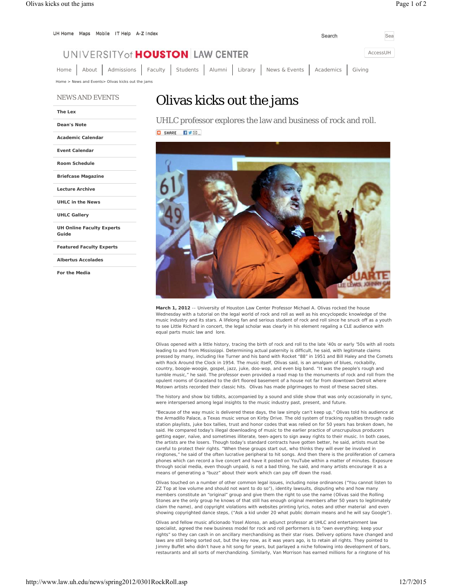| UH Home Maps Mobile IT Help A-Z Index                                                | Search | Sea      |
|--------------------------------------------------------------------------------------|--------|----------|
| UNIVERSITY of <b>HOUSTON</b> LAW CENTER                                              |        | AccessUH |
| Home About Admissions Faculty Students Alumni Library News & Events Academics Giving |        |          |
| Home > News and Events > Olivas kicks out the jams                                   |        |          |

#### NEWS AND EVENTS

#### **The Lex**

**Dean's Note**

**Academic Calendar**

**Event Calendar**

**Room Schedule**

**Briefcase Magazine**

**Lecture Archive**

**UHLC in the News**

**UHLC Gallery**

**UH Online Faculty Experts Guide**

**Featured Faculty Experts**

**Albertus Accolades**

**For the Media**

### Olivas kicks out the jams

UHLC professor explores the law and business of rock and roll. O SHARE DVEL



**March 1, 2012** -- University of Houston Law Center Professor Michael A. Olivas rocked the house Wednesday with a tutorial on the legal world of rock and roll as well as his encyclopedic knowledge of the music industry and its stars. A lifelong fan and serious student of rock and roll since he snuck off as a youth to see Little Richard in concert, the legal scholar was clearly in his element regaling a CLE audience with equal parts music law and lore.

Olivas opened with a little history, tracing the birth of rock and roll to the late '40s or early '50s with all roots leading to and from Mississippi. Determining actual paternity is difficult, he said, with legitimate claims pressed by many, including Ike Turner and his band with *Rocket "88"* in 1951 and Bill Haley and the Comets with *Rock Around the Clock* in 1954. The music itself, Olivas said, is an amalgam of blues, rockabilly, country, boogie-woogie, gospel, jazz, juke, doo-wop, and even big band. "It was the people's rough and tumble music," he said. The professor even provided a road map to the monuments of rock and roll from the opulent rooms of Graceland to the dirt floored basement of a house not far from downtown Detroit where Motown artists recorded their classic hits. Olivas has made pilgrimages to most of these sacred sites.

The history and show biz tidbits, accompanied by a sound and slide show that was only occasionally in sync, were interspersed among legal insights to the music industry past, present, and future.

"Because of the way music is delivered these days, the law simply can't keep up," Olivas told his audience at the Armadillo Palace, a Texas music venue on Kirby Drive. The old system of tracking royalties through radio station playlists, juke box tallies, trust and honor codes that was relied on for 50 years has broken down, he said. He compared today's illegal downloading of music to the earlier practice of unscrupulous producers getting eager, naïve, and sometimes illiterate, teen-agers to sign away rights to their music. In both cases, the artists are the losers. Though today's standard contracts have gotten better, he said, artists must be careful to protect their rights. "When these groups start out, who thinks they will ever be involved in ringtones," he said of the often lucrative peripheral to hit songs. And then there is the proliferation of camera phones which can record a live concert and have it posted on YouTube within a matter of minutes. Exposure through social media, even though unpaid, is not a bad thing, he said, and many artists encourage it as a means of generating a "buzz" about their work which can pay off down the road.

Olivas touched on a number of other common legal issues, including noise ordinances ("You cannot listen to ZZ Top at low volume and should not want to do so"), identity lawsuits, disputing who and how many members constitute an "original" group and give them the right to use the name (Olivas said the Rolling Stones are the only group he knows of that still has enough original members after 50 years to legitimately claim the name), and copyright violations with websites printing lyrics, notes and other material and even showing copyrighted dance steps, ("Ask a kid under 20 what public domain means and he will say Google").

Olivas and fellow music aficionado Yosel Alonso, an adjunct professor at UHLC and entertainment law specialist, agreed the new business model for rock and roll performers is to "own everything; keep your rights" so they can cash in on ancillary merchandising as their star rises. Delivery options have changed and laws are still being sorted out, but the key now, as it was years ago, is to retain all rights. They pointed to Jimmy Buffet who didn't have a hit song for years, but parlayed a niche following into development of bars, restaurants and all sorts of merchandizing. Similarly, Van Morrison has earned millions for a ringtone of his